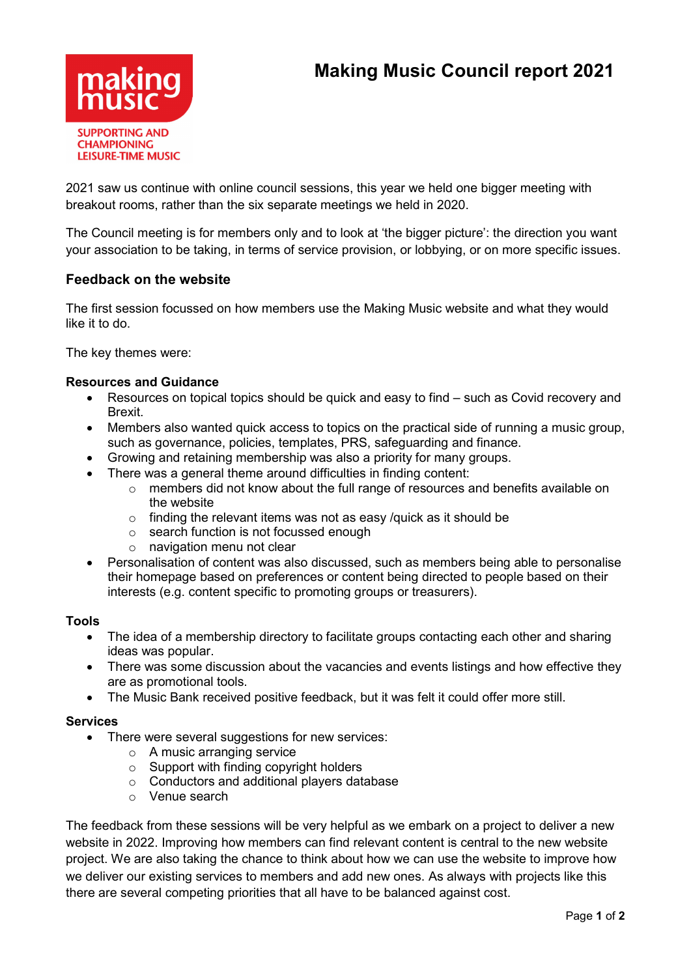

2021 saw us continue with online council sessions, this year we held one bigger meeting with breakout rooms, rather than the six separate meetings we held in 2020.

The Council meeting is for members only and to look at 'the bigger picture': the direction you want your association to be taking, in terms of service provision, or lobbying, or on more specific issues.

## Feedback on the website

The first session focussed on how members use the Making Music website and what they would like it to do.

The key themes were:

### Resources and Guidance

- Resources on topical topics should be quick and easy to find such as Covid recovery and Brexit.
- Members also wanted quick access to topics on the practical side of running a music group, such as governance, policies, templates, PRS, safeguarding and finance.
- Growing and retaining membership was also a priority for many groups.
- There was a general theme around difficulties in finding content:
	- o members did not know about the full range of resources and benefits available on the website
	- $\circ$  finding the relevant items was not as easy /quick as it should be
	- o search function is not focussed enough
	- o navigation menu not clear
- Personalisation of content was also discussed, such as members being able to personalise their homepage based on preferences or content being directed to people based on their interests (e.g. content specific to promoting groups or treasurers).

#### Tools

- The idea of a membership directory to facilitate groups contacting each other and sharing ideas was popular.
- There was some discussion about the vacancies and events listings and how effective they are as promotional tools.
- The Music Bank received positive feedback, but it was felt it could offer more still.

#### **Services**

- There were several suggestions for new services:
	- o A music arranging service
	- o Support with finding copyright holders
	- o Conductors and additional players database
	- o Venue search

The feedback from these sessions will be very helpful as we embark on a project to deliver a new website in 2022. Improving how members can find relevant content is central to the new website project. We are also taking the chance to think about how we can use the website to improve how we deliver our existing services to members and add new ones. As always with projects like this there are several competing priorities that all have to be balanced against cost.